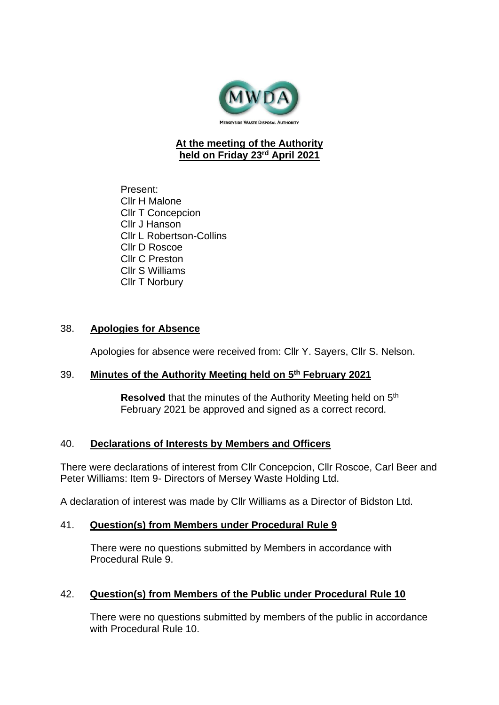

#### **At the meeting of the Authority held on Friday 23rd April 2021**

Present: Cllr H Malone Cllr T Concepcion Cllr J Hanson Cllr L Robertson-Collins Cllr D Roscoe Cllr C Preston Cllr S Williams Cllr T Norbury

#### 38. **Apologies for Absence**

Apologies for absence were received from: Cllr Y. Sayers, Cllr S. Nelson.

#### 39. **Minutes of the Authority Meeting held on 5 th February 2021**

Resolved that the minutes of the Authority Meeting held on 5<sup>th</sup> February 2021 be approved and signed as a correct record.

#### 40. **Declarations of Interests by Members and Officers**

There were declarations of interest from Cllr Concepcion, Cllr Roscoe, Carl Beer and Peter Williams: Item 9- Directors of Mersey Waste Holding Ltd.

A declaration of interest was made by Cllr Williams as a Director of Bidston Ltd.

#### 41. **Question(s) from Members under Procedural Rule 9**

There were no questions submitted by Members in accordance with Procedural Rule 9.

#### 42. **Question(s) from Members of the Public under Procedural Rule 10**

There were no questions submitted by members of the public in accordance with Procedural Rule 10.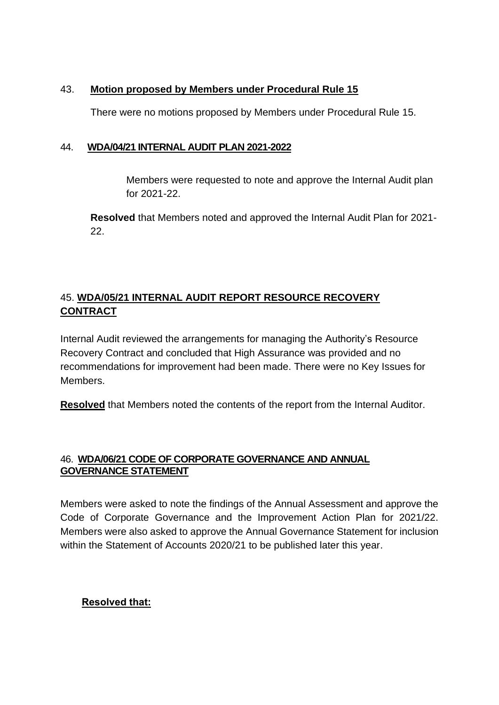### 43. **Motion proposed by Members under Procedural Rule 15**

There were no motions proposed by Members under Procedural Rule 15.

### 44. **WDA/04/21 INTERNAL AUDIT PLAN 2021-2022**

Members were requested to note and approve the Internal Audit plan for 2021-22.

**Resolved** that Members noted and approved the Internal Audit Plan for 2021- 22.

# 45. **WDA/05/21 INTERNAL AUDIT REPORT RESOURCE RECOVERY CONTRACT**

Internal Audit reviewed the arrangements for managing the Authority's Resource Recovery Contract and concluded that High Assurance was provided and no recommendations for improvement had been made. There were no Key Issues for Members.

**Resolved** that Members noted the contents of the report from the Internal Auditor.

## 46. **WDA/06/21 CODE OF CORPORATE GOVERNANCE AND ANNUAL GOVERNANCE STATEMENT**

Members were asked to note the findings of the Annual Assessment and approve the Code of Corporate Governance and the Improvement Action Plan for 2021/22. Members were also asked to approve the Annual Governance Statement for inclusion within the Statement of Accounts 2020/21 to be published later this year.

## **Resolved that:**